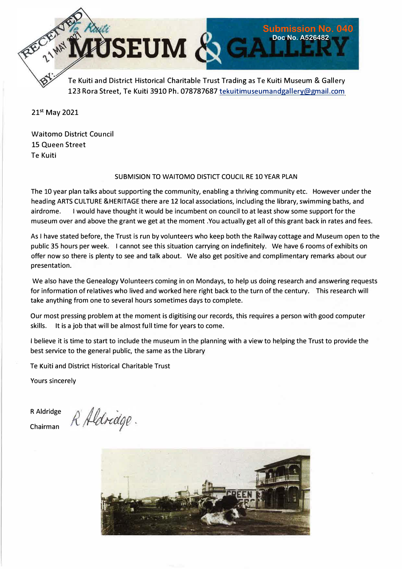

123 Rora Street, Te Kuiti 3910 Ph. 078787687 tekuitimuseumandgallery@gmail.com

**21st May 2021** 

Waitomo District Council 15 Queen Street Te Kuiti

#### SUBMISION TO WAITOMO DISTICT COUCIL RE 10 YEAR PLAN

The 10 year plan talks about supporting the community, enabling a thriving community etc. However under the heading ARTS CULTURE &HERITAGE there are 12 local associations, including the library, swimming baths, and airdrome. I would have thought it would be incumbent on council to at least show some support for the museum over and above the grant we get at the moment .You actually get all of this grant back in rates and fees.

As I have stated before, the Trust is run by volunteers who keep both the Railway cottage and Museum open to the public 35 hours per week. I cannot see this situation carrying on indefinitely. We have 6 rooms of exhibits on offer now so there is plenty to see and talk about. We also get positive and complimentary remarks about our presentation.

We also have the Genealogy Volunteers coming in on Mondays, to help us doing research and answering requests for information of relatives who lived and worked here right back to the turn of the century. This research will take anything from one to several hours sometimes days to complete.

Our most pressing problem at the moment is digitising our records, this requires a person with good computer skills. It is a job that will be almost full time for years to come.

I believe it is time to start to include the museum in the planning with a view to helping the Trust to provide the best service to the general public, the same as the Library

Te Kuiti and District Historical Charitable Trust

Yours sincerely

R Aldridge Chairman

R Aldridge.

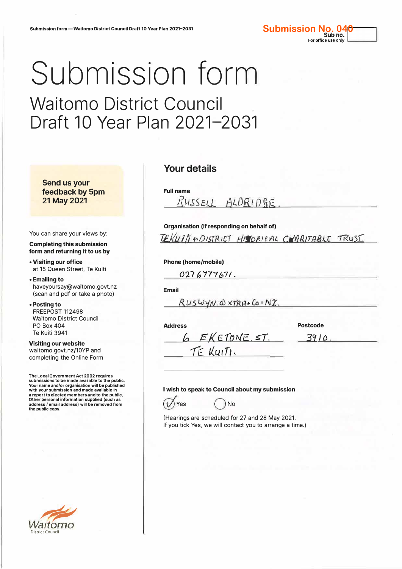# Submission form

# Waitomo District Council Draft 10 Year Plan 2021-2031

**Send us your feedback by 5pm 21 May 2021** 

You can share your views by:

**Completing this submission form and returning it to us by** 

**• Visiting our office** at 15 Queen Street, Te Kuiti

**• Emailing to** haveyoursay@waitomo.govt.nz (scan and pdf or take a photo)

**• Posting to** FREEPOST 112498 Waitomo District Council PO Box 404 Te Kuiti 3941

**Visiting our website** waitomo.govt.nz/10YP and completing the Online Form

**The Local Government Act 2002 requires submissions to be made available to the public. Your name and/or organisation will be published with your submission and made available in a report to elected members and to the public. Other personal information supplied (such as address/ email address) will be removed from the public copy.** 



#### **Your details**

**Full name**  *f?ySSElL t9LDR1 D fJ)f,.* 

**Organisation (if responding on behalf of)** 

*T£}(f.i.l/f ;-,, D15[R,* er *t/is-rot' e 'AL CHl2IUTBIJ/..£* --rRu.s-r.

**Phone (home/mobile)** 

 $0276777671.$ 

**Email** 

 $RUSWYN. QXTR17.$   $CovN2$ .

6 EKETONE ST.

TE KUITI.

**Address** 

**Postcode** 

**Submission No. 04** 

For office use only

*3Cf J b.* 

## **I wish to speak to Council about my submission**  ) No



(Hearings are scheduled for 27 and 28 May 2021. If you tick Yes, we will contact you to arrange a time.)